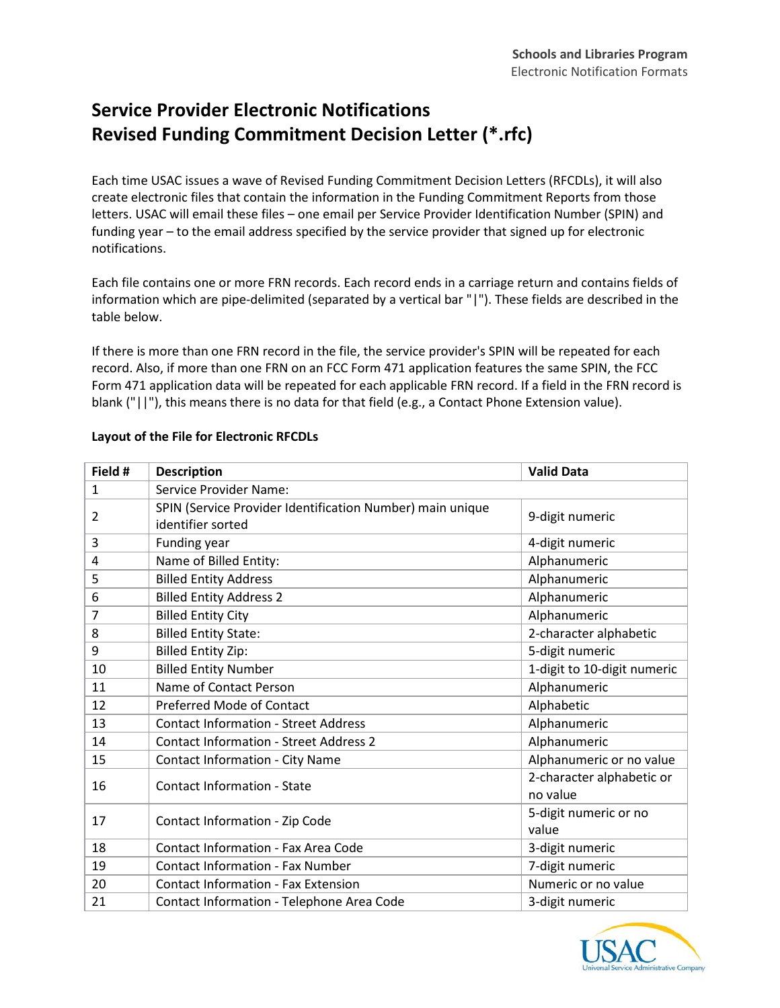## **Service Provider Electronic Notifications Revised Funding Commitment Decision Letter (\*.rfc)**

Each time USAC issues a wave of Revised Funding Commitment Decision Letters (RFCDLs), it will also create electronic files that contain the information in the Funding Commitment Reports from those letters. USAC will email these files – one email per Service Provider Identification Number (SPIN) and funding year – to the email address specified by the service provider that signed up for electronic notifications.

Each file contains one or more FRN records. Each record ends in a carriage return and contains fields of information which are pipe-delimited (separated by a vertical bar "|"). These fields are described in the table below.

If there is more than one FRN record in the file, the service provider's SPIN will be repeated for each record. Also, if more than one FRN on an FCC Form 471 application features the same SPIN, the FCC Form 471 application data will be repeated for each applicable FRN record. If a field in the FRN record is blank ("||"), this means there is no data for that field (e.g., a Contact Phone Extension value).

| Field #        | <b>Description</b>                                                             | <b>Valid Data</b>           |
|----------------|--------------------------------------------------------------------------------|-----------------------------|
| $\mathbf{1}$   | Service Provider Name:                                                         |                             |
| $\overline{2}$ | SPIN (Service Provider Identification Number) main unique<br>identifier sorted | 9-digit numeric             |
| 3              | Funding year                                                                   | 4-digit numeric             |
| $\overline{4}$ | Name of Billed Entity:                                                         | Alphanumeric                |
| 5              | <b>Billed Entity Address</b>                                                   | Alphanumeric                |
| 6              | <b>Billed Entity Address 2</b>                                                 | Alphanumeric                |
| 7              | <b>Billed Entity City</b>                                                      | Alphanumeric                |
| 8              | <b>Billed Entity State:</b>                                                    | 2-character alphabetic      |
| 9              | <b>Billed Entity Zip:</b>                                                      | 5-digit numeric             |
| 10             | <b>Billed Entity Number</b>                                                    | 1-digit to 10-digit numeric |
| 11             | Name of Contact Person                                                         | Alphanumeric                |
| 12             | <b>Preferred Mode of Contact</b>                                               | Alphabetic                  |
| 13             | <b>Contact Information - Street Address</b>                                    | Alphanumeric                |
| 14             | <b>Contact Information - Street Address 2</b>                                  | Alphanumeric                |
| 15             | <b>Contact Information - City Name</b>                                         | Alphanumeric or no value    |
| 16             | <b>Contact Information - State</b>                                             | 2-character alphabetic or   |
|                |                                                                                | no value                    |
| 17             | Contact Information - Zip Code                                                 | 5-digit numeric or no       |
|                |                                                                                | value                       |
| 18             | <b>Contact Information - Fax Area Code</b>                                     | 3-digit numeric             |
| 19             | <b>Contact Information - Fax Number</b>                                        | 7-digit numeric             |
| 20             | <b>Contact Information - Fax Extension</b>                                     | Numeric or no value         |
| 21             | Contact Information - Telephone Area Code                                      | 3-digit numeric             |

## **Layout of the File for Electronic RFCDLs**